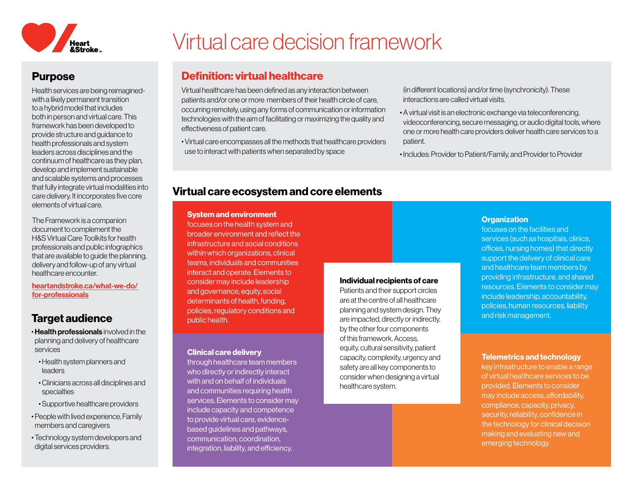

# Purpose

Health services are being reimaginedwith a likely permanent transition to a hybrid model that includes both in person and virtual care. This framework has been developed to provide structure and guidance to health professionals and system leaders across disciplines and the continuum of healthcare as they plan, develop and implement sustainable and scalable systems and processes that fully integrate virtual modalities into care delivery. It incorporates five core elements of virtual care.

The Framework is a companion document to complement the H&S Virtual Care Toolkits for health professionals and public infographics that are available to guide the planning, delivery and follow-up of any virtual healthcare encounter.

[heartandstroke.ca/what-we-do/](https://www.heartandstroke.ca/what-we-do/for-professionals) [for-professionals](https://www.heartandstroke.ca/what-we-do/for-professionals)

## Target audience

- Health professionals involved in the planning and delivery of healthcare services
	- Health system planners and leaders
	- Clinicians across all disciplines and specialties
- Supportive healthcare providers
- People with lived experience, Family members and caregivers
- Technology system developers and digital services providers.

# Virtual care decision framework

# Definition: virtual healthcare

Virtual healthcare has been defined as any interaction between patients and/or one or more members of their health circle of care, occurring remotely, using any forms of communication or information technologies with the aim of facilitating or maximizing the quality and effectiveness of patient care.

• Virtual care encompasses all the methods that healthcare providers use to interact with patients when separated by space

(in different locations) and/or time (synchronicity). These interactions are called virtual visits.

- A virtual visit is an electronic exchange via teleconferencing, videoconferencing, secure messaging, or audio digital tools, where one or more health care providers deliver health care services to a patient.
- Includes: Provider to Patient/Family, and Provider to Provider

## Virtual care ecosystem and core elements

#### System and environment

focuses on the health system and broader environment and reflect the infrastructure and social conditions within which organizations, clinical teams, individuals and communities interact and operate. Elements to consider may include leadership and governance, equity, social determinants of health, funding, policies, regulatory conditions and public health.

#### Clinical care delivery

through healthcare team members who directly or indirectly interact with and on behalf of individuals and communities requiring health services. Elements to consider may include capacity and competence to provide virtual care, evidencebased guidelines and pathways, communication, coordination, integration, liability, and efficiency.

#### Individual recipients of care

Patients and their support circles are at the centre of all healthcare planning and system design. They are impacted, directly or indirectly, by the other four components of this framework. Access, equity, cultural sensitivity, patient capacity, complexity, urgency and safety are all key components to consider when designing a virtual healthcare system.

#### **Organization**

focuses on the facilities and services (such as hospitals, clinics, offices, nursing homes) that directly support the delivery of clinical care and healthcare team members by providing infrastructure, and shared resources. Elements to consider may include leadership, accountability, policies, human resources, liability and risk management.

#### Telemetrics and technology

key infrastructure to enable a range of virtual healthcare services to be provided. Elements to consider may include access, affordability, compliance, capacity, privacy, security, reliability, confidence in the technology for clinical decision making and evaluating new and emerging technology.